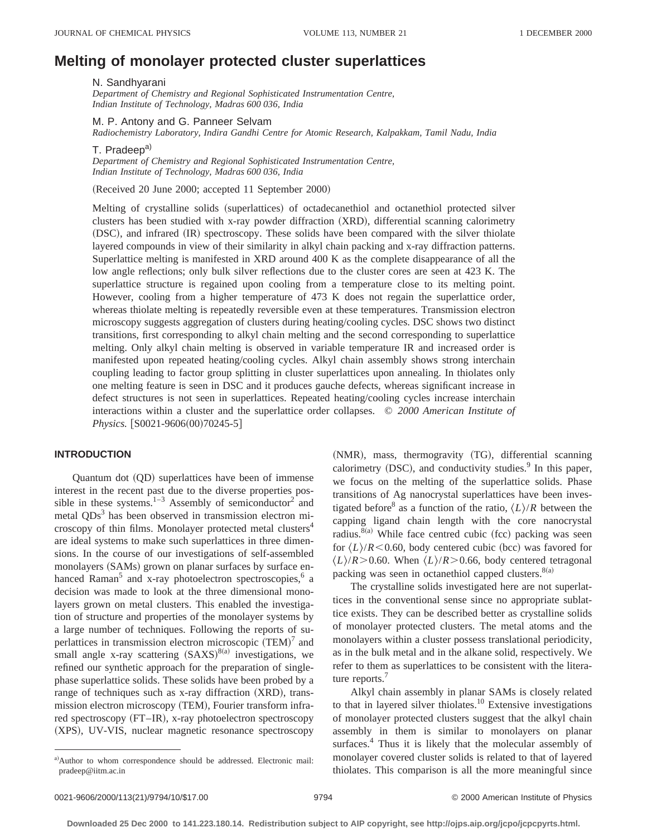# **Melting of monolayer protected cluster superlattices**

N. Sandhyarani

*Department of Chemistry and Regional Sophisticated Instrumentation Centre, Indian Institute of Technology, Madras 600 036, India*

M. P. Antony and G. Panneer Selvam

*Radiochemistry Laboratory, Indira Gandhi Centre for Atomic Research, Kalpakkam, Tamil Nadu, India*

T. Pradeep<sup>a)</sup>

*Department of Chemistry and Regional Sophisticated Instrumentation Centre, Indian Institute of Technology, Madras 600 036, India*

(Received 20 June 2000; accepted 11 September 2000)

Melting of crystalline solids (superlattices) of octadecanethiol and octanethiol protected silver clusters has been studied with x-ray powder diffraction (XRD), differential scanning calorimetry (DSC), and infrared (IR) spectroscopy. These solids have been compared with the silver thiolate layered compounds in view of their similarity in alkyl chain packing and x-ray diffraction patterns. Superlattice melting is manifested in XRD around 400 K as the complete disappearance of all the low angle reflections; only bulk silver reflections due to the cluster cores are seen at 423 K. The superlattice structure is regained upon cooling from a temperature close to its melting point. However, cooling from a higher temperature of 473 K does not regain the superlattice order, whereas thiolate melting is repeatedly reversible even at these temperatures. Transmission electron microscopy suggests aggregation of clusters during heating/cooling cycles. DSC shows two distinct transitions, first corresponding to alkyl chain melting and the second corresponding to superlattice melting. Only alkyl chain melting is observed in variable temperature IR and increased order is manifested upon repeated heating/cooling cycles. Alkyl chain assembly shows strong interchain coupling leading to factor group splitting in cluster superlattices upon annealing. In thiolates only one melting feature is seen in DSC and it produces gauche defects, whereas significant increase in defect structures is not seen in superlattices. Repeated heating/cooling cycles increase interchain interactions within a cluster and the superlattice order collapses. © *2000 American Institute of Physics.* [S0021-9606(00)70245-5]

## **INTRODUCTION**

Quantum dot (QD) superlattices have been of immense interest in the recent past due to the diverse properties possible in these systems. $1-3$  Assembly of semiconductor<sup>2</sup> and metal  $QDs<sup>3</sup>$  has been observed in transmission electron microscopy of thin films. Monolayer protected metal clusters<sup>4</sup> are ideal systems to make such superlattices in three dimensions. In the course of our investigations of self-assembled monolayers (SAMs) grown on planar surfaces by surface enhanced Raman<sup>5</sup> and x-ray photoelectron spectroscopies, $6$  a decision was made to look at the three dimensional monolayers grown on metal clusters. This enabled the investigation of structure and properties of the monolayer systems by a large number of techniques. Following the reports of superlattices in transmission electron microscopic  $(TEM)^7$  and small angle x-ray scattering  $(SAXS)^{8(a)}$  investigations, we refined our synthetic approach for the preparation of singlephase superlattice solids. These solids have been probed by a range of techniques such as x-ray diffraction (XRD), transmission electron microscopy (TEM), Fourier transform infrared spectroscopy (FT–IR), x-ray photoelectron spectroscopy (XPS), UV-VIS, nuclear magnetic resonance spectroscopy

(NMR), mass, thermogravity (TG), differential scanning calorimetry  $(DSC)$ , and conductivity studies. $9$  In this paper, we focus on the melting of the superlattice solids. Phase transitions of Ag nanocrystal superlattices have been investigated before<sup>8</sup> as a function of the ratio,  $\langle L \rangle / R$  between the capping ligand chain length with the core nanocrystal radius.<sup>8(a)</sup> While face centred cubic (fcc) packing was seen for  $\langle L \rangle / R$ <0.60, body centered cubic (bcc) was favored for  $\langle L \rangle$ /*R*>0.60. When  $\langle L \rangle$ /*R*>0.66, body centered tetragonal packing was seen in octanethiol capped clusters. $8(a)$ 

The crystalline solids investigated here are not superlattices in the conventional sense since no appropriate sublattice exists. They can be described better as crystalline solids of monolayer protected clusters. The metal atoms and the monolayers within a cluster possess translational periodicity, as in the bulk metal and in the alkane solid, respectively. We refer to them as superlattices to be consistent with the literature reports.<sup>7</sup>

Alkyl chain assembly in planar SAMs is closely related to that in layered silver thiolates.<sup>10</sup> Extensive investigations of monolayer protected clusters suggest that the alkyl chain assembly in them is similar to monolayers on planar surfaces.<sup>4</sup> Thus it is likely that the molecular assembly of monolayer covered cluster solids is related to that of layered thiolates. This comparison is all the more meaningful since

a)Author to whom correspondence should be addressed. Electronic mail: pradeep@iitm.ac.in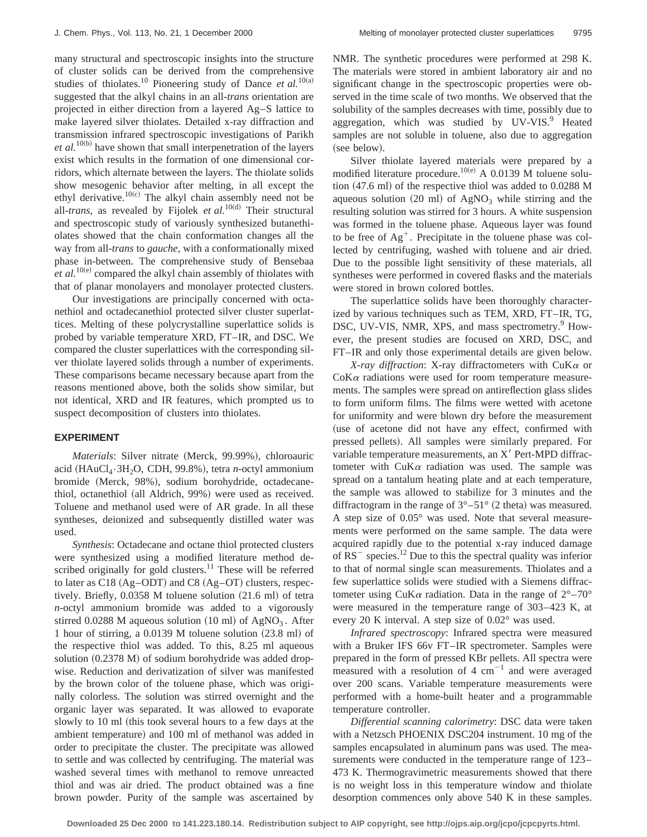many structural and spectroscopic insights into the structure of cluster solids can be derived from the comprehensive studies of thiolates.<sup>10</sup> Pioneering study of Dance *et al.*<sup>10(a)</sup> suggested that the alkyl chains in an all-*trans* orientation are projected in either direction from a layered Ag–S lattice to make layered silver thiolates. Detailed x-ray diffraction and transmission infrared spectroscopic investigations of Parikh  $et al.<sup>10(b)</sup>$  have shown that small interpenetration of the layers exist which results in the formation of one dimensional corridors, which alternate between the layers. The thiolate solids show mesogenic behavior after melting, in all except the ethyl derivative.<sup>10(c)</sup> The alkyl chain assembly need not be all-*trans*, as revealed by Fijolek *et al.*<sup>10(d)</sup> Their structural and spectroscopic study of variously synthesized butanethiolates showed that the chain conformation changes all the way from all-*trans* to *gauche*, with a conformationally mixed phase in-between. The comprehensive study of Bensebaa  $et al.<sup>10(e)</sup> compared the alkyl chain assembly of thiolates with$ that of planar monolayers and monolayer protected clusters.

Our investigations are principally concerned with octanethiol and octadecanethiol protected silver cluster superlattices. Melting of these polycrystalline superlattice solids is probed by variable temperature XRD, FT–IR, and DSC. We compared the cluster superlattices with the corresponding silver thiolate layered solids through a number of experiments. These comparisons became necessary because apart from the reasons mentioned above, both the solids show similar, but not identical, XRD and IR features, which prompted us to suspect decomposition of clusters into thiolates.

#### **EXPERIMENT**

*Materials*: Silver nitrate (Merck, 99.99%), chloroauric acid (HAuCl<sub>4</sub>·3H<sub>2</sub>O, CDH, 99.8%), tetra *n*-octyl ammonium bromide (Merck, 98%), sodium borohydride, octadecanethiol, octanethiol (all Aldrich, 99%) were used as received. Toluene and methanol used were of AR grade. In all these syntheses, deionized and subsequently distilled water was used.

*Synthesis*: Octadecane and octane thiol protected clusters were synthesized using a modified literature method described originally for gold clusters.<sup>11</sup> These will be referred to later as  $C18$  (Ag–ODT) and C8 (Ag–OT) clusters, respectively. Briefly,  $0.0358$  M toluene solution  $(21.6 \text{ ml})$  of tetra *n*-octyl ammonium bromide was added to a vigorously stirred 0.0288 M aqueous solution  $(10 \text{ ml})$  of AgNO<sub>3</sub>. After 1 hour of stirring, a  $0.0139$  M toluene solution  $(23.8 \text{ ml})$  of the respective thiol was added. To this, 8.25 ml aqueous solution  $(0.2378 \text{ M})$  of sodium borohydride was added dropwise. Reduction and derivatization of silver was manifested by the brown color of the toluene phase, which was originally colorless. The solution was stirred overnight and the organic layer was separated. It was allowed to evaporate slowly to 10 ml (this took several hours to a few days at the ambient temperature) and 100 ml of methanol was added in order to precipitate the cluster. The precipitate was allowed to settle and was collected by centrifuging. The material was washed several times with methanol to remove unreacted thiol and was air dried. The product obtained was a fine brown powder. Purity of the sample was ascertained by NMR. The synthetic procedures were performed at 298 K. The materials were stored in ambient laboratory air and no significant change in the spectroscopic properties were observed in the time scale of two months. We observed that the solubility of the samples decreases with time, possibly due to aggregation, which was studied by  $UV-VIS.9$  Heated samples are not soluble in toluene, also due to aggregation (see below).

Silver thiolate layered materials were prepared by a modified literature procedure.<sup>10(e)</sup> A 0.0139 M toluene solution  $(47.6 \text{ ml})$  of the respective thiol was added to  $0.0288 \text{ M}$ aqueous solution  $(20 \text{ ml})$  of AgNO<sub>3</sub> while stirring and the resulting solution was stirred for 3 hours. A white suspension was formed in the toluene phase. Aqueous layer was found to be free of  $Ag^+$ . Precipitate in the toluene phase was collected by centrifuging, washed with toluene and air dried. Due to the possible light sensitivity of these materials, all syntheses were performed in covered flasks and the materials were stored in brown colored bottles.

The superlattice solids have been thoroughly characterized by various techniques such as TEM, XRD, FT–IR, TG, DSC, UV-VIS, NMR, XPS, and mass spectrometry.<sup>9</sup> However, the present studies are focused on XRD, DSC, and FT–IR and only those experimental details are given below.

*X-ray diffraction*: X-ray diffractometers with CuK<sup>a</sup> or  $C$ o $K\alpha$  radiations were used for room temperature measurements. The samples were spread on antireflection glass slides to form uniform films. The films were wetted with acetone for uniformity and were blown dry before the measurement (use of acetone did not have any effect, confirmed with pressed pellets). All samples were similarly prepared. For variable temperature measurements, an  $X'$  Pert-MPD diffractometer with  $CuKa$  radiation was used. The sample was spread on a tantalum heating plate and at each temperature, the sample was allowed to stabilize for 3 minutes and the diffractogram in the range of  $3^{\circ}-51^{\circ}$  (2 theta) was measured. A step size of 0.05° was used. Note that several measurements were performed on the same sample. The data were acquired rapidly due to the potential x-ray induced damage of  $RS^-$  species.<sup>12</sup> Due to this the spectral quality was inferior to that of normal single scan measurements. Thiolates and a few superlattice solids were studied with a Siemens diffractometer using CuK $\alpha$  radiation. Data in the range of  $2^{\circ} - 70^{\circ}$ were measured in the temperature range of 303–423 K, at every 20 K interval. A step size of 0.02° was used.

*Infrared spectroscopy*: Infrared spectra were measured with a Bruker IFS 66v FT–IR spectrometer. Samples were prepared in the form of pressed KBr pellets. All spectra were measured with a resolution of 4  $cm^{-1}$  and were averaged over 200 scans. Variable temperature measurements were performed with a home-built heater and a programmable temperature controller.

*Differential scanning calorimetry*: DSC data were taken with a Netzsch PHOENIX DSC204 instrument. 10 mg of the samples encapsulated in aluminum pans was used. The measurements were conducted in the temperature range of 123– 473 K. Thermogravimetric measurements showed that there is no weight loss in this temperature window and thiolate desorption commences only above 540 K in these samples.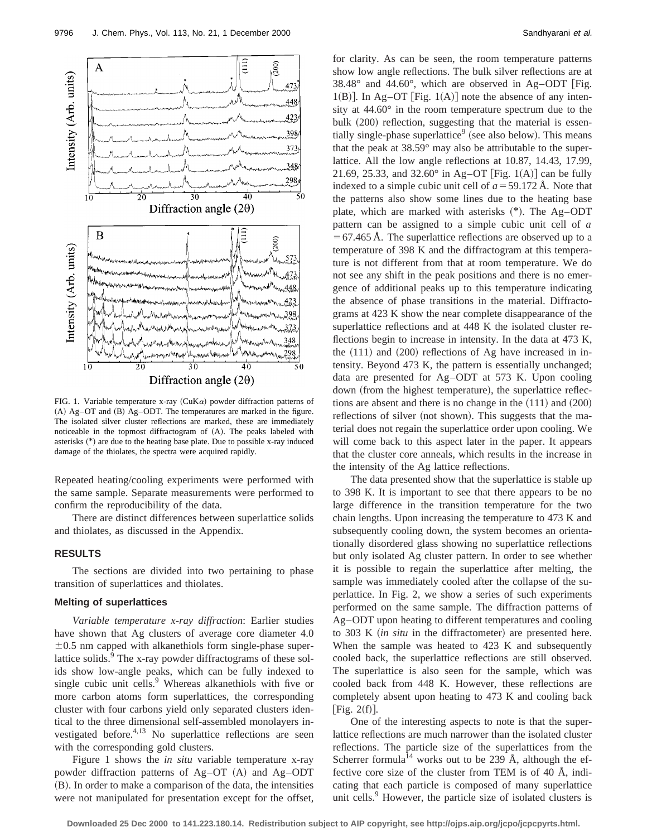

FIG. 1. Variable temperature x-ray (CuK $\alpha$ ) powder diffraction patterns of  $(A)$  Ag–OT and  $(B)$  Ag–ODT. The temperatures are marked in the figure. The isolated silver cluster reflections are marked, these are immediately noticeable in the topmost diffractogram of  $(A)$ . The peaks labeled with asterisks (\*) are due to the heating base plate. Due to possible x-ray induced damage of the thiolates, the spectra were acquired rapidly.

Repeated heating/cooling experiments were performed with the same sample. Separate measurements were performed to confirm the reproducibility of the data.

There are distinct differences between superlattice solids and thiolates, as discussed in the Appendix.

## **RESULTS**

The sections are divided into two pertaining to phase transition of superlattices and thiolates.

## **Melting of superlattices**

*Variable temperature x-ray diffraction*: Earlier studies have shown that Ag clusters of average core diameter 4.0  $\pm 0.5$  nm capped with alkanethiols form single-phase superlattice solids.<sup>9</sup> The x-ray powder diffractograms of these solids show low-angle peaks, which can be fully indexed to single cubic unit cells. $9$  Whereas alkanethiols with five or more carbon atoms form superlattices, the corresponding cluster with four carbons yield only separated clusters identical to the three dimensional self-assembled monolayers investigated before.<sup>4,13</sup> No superlattice reflections are seen with the corresponding gold clusters.

Figure 1 shows the *in situ* variable temperature x-ray powder diffraction patterns of Ag–OT (A) and Ag–ODT  $(B)$ . In order to make a comparison of the data, the intensities were not manipulated for presentation except for the offset, for clarity. As can be seen, the room temperature patterns show low angle reflections. The bulk silver reflections are at  $38.48^{\circ}$  and  $44.60^{\circ}$ , which are observed in Ag-ODT [Fig. 1(B)]. In Ag–OT [Fig. 1(A)] note the absence of any intensity at 44.60° in the room temperature spectrum due to the bulk  $(200)$  reflection, suggesting that the material is essentially single-phase superlattice<sup>9</sup> (see also below). This means that the peak at 38.59° may also be attributable to the superlattice. All the low angle reflections at 10.87, 14.43, 17.99, 21.69, 25.33, and 32.60 $^{\circ}$  in Ag–OT [Fig. 1(A)] can be fully indexed to a simple cubic unit cell of  $a = 59.172$  Å. Note that the patterns also show some lines due to the heating base plate, which are marked with asterisks  $(*)$ . The Ag–ODT pattern can be assigned to a simple cubic unit cell of *a*  $=67.465$  Å. The superlattice reflections are observed up to a temperature of 398 K and the diffractogram at this temperature is not different from that at room temperature. We do not see any shift in the peak positions and there is no emergence of additional peaks up to this temperature indicating the absence of phase transitions in the material. Diffractograms at 423 K show the near complete disappearance of the superlattice reflections and at 448 K the isolated cluster reflections begin to increase in intensity. In the data at 473 K, the  $(111)$  and  $(200)$  reflections of Ag have increased in intensity. Beyond 473 K, the pattern is essentially unchanged; data are presented for Ag–ODT at 573 K. Upon cooling down (from the highest temperature), the superlattice reflections are absent and there is no change in the  $(111)$  and  $(200)$ reflections of silver (not shown). This suggests that the material does not regain the superlattice order upon cooling. We will come back to this aspect later in the paper. It appears that the cluster core anneals, which results in the increase in the intensity of the Ag lattice reflections.

The data presented show that the superlattice is stable up to 398 K. It is important to see that there appears to be no large difference in the transition temperature for the two chain lengths. Upon increasing the temperature to 473 K and subsequently cooling down, the system becomes an orientationally disordered glass showing no superlattice reflections but only isolated Ag cluster pattern. In order to see whether it is possible to regain the superlattice after melting, the sample was immediately cooled after the collapse of the superlattice. In Fig. 2, we show a series of such experiments performed on the same sample. The diffraction patterns of Ag–ODT upon heating to different temperatures and cooling to 303 K (*in situ* in the diffractometer) are presented here. When the sample was heated to 423 K and subsequently cooled back, the superlattice reflections are still observed. The superlattice is also seen for the sample, which was cooled back from 448 K. However, these reflections are completely absent upon heating to 473 K and cooling back [Fig.  $2(f)$ ].

One of the interesting aspects to note is that the superlattice reflections are much narrower than the isolated cluster reflections. The particle size of the superlattices from the Scherrer formula<sup>14</sup> works out to be 239 Å, although the effective core size of the cluster from TEM is of 40  $\AA$ , indicating that each particle is composed of many superlattice unit cells.<sup>9</sup> However, the particle size of isolated clusters is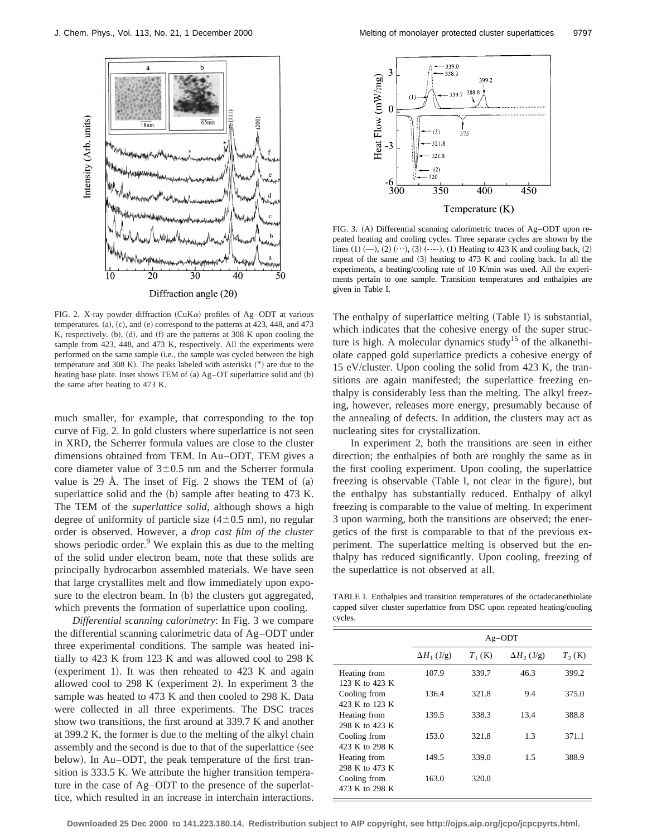

FIG. 2. X-ray powder diffraction (CuK $\alpha$ ) profiles of Ag–ODT at various temperatures.  $(a)$ ,  $(c)$ , and  $(e)$  correspond to the patterns at 423, 448, and 473 K, respectively.  $(b)$ ,  $(d)$ , and  $(f)$  are the patterns at 308 K upon cooling the sample from 423, 448, and 473 K, respectively. All the experiments were performed on the same sample (i.e., the sample was cycled between the high temperature and 308 K). The peaks labeled with asterisks  $(*)$  are due to the heating base plate. Inset shows TEM of  $(a)$  Ag–OT superlattice solid and  $(b)$ the same after heating to 473 K.

much smaller, for example, that corresponding to the top curve of Fig. 2. In gold clusters where superlattice is not seen in XRD, the Scherrer formula values are close to the cluster dimensions obtained from TEM. In Au–ODT, TEM gives a core diameter value of  $3\pm0.5$  nm and the Scherrer formula value is 29 Å. The inset of Fig. 2 shows the TEM of  $(a)$ superlattice solid and the  $(b)$  sample after heating to 473 K. The TEM of the *superlattice solid*, although shows a high degree of uniformity of particle size  $(4\pm0.5 \text{ nm})$ , no regular order is observed. However, a *drop cast film of the cluster* shows periodic order.<sup>9</sup> We explain this as due to the melting of the solid under electron beam, note that these solids are principally hydrocarbon assembled materials. We have seen that large crystallites melt and flow immediately upon exposure to the electron beam. In (b) the clusters got aggregated, which prevents the formation of superlattice upon cooling.

*Differential scanning calorimetry*: In Fig. 3 we compare the differential scanning calorimetric data of Ag–ODT under three experimental conditions. The sample was heated initially to 423 K from 123 K and was allowed cool to 298 K (experiment 1). It was then reheated to  $423 \text{ K}$  and again allowed cool to  $298 \text{ K}$  (experiment 2). In experiment 3 the sample was heated to 473 K and then cooled to 298 K. Data were collected in all three experiments. The DSC traces show two transitions, the first around at 339.7 K and another at 399.2 K, the former is due to the melting of the alkyl chain assembly and the second is due to that of the superlattice (see below). In Au–ODT, the peak temperature of the first transition is 333.5 K. We attribute the higher transition temperature in the case of Ag–ODT to the presence of the superlattice, which resulted in an increase in interchain interactions.



FIG. 3. (A) Differential scanning calorimetric traces of Ag–ODT upon repeated heating and cooling cycles. Three separate cycles are shown by the lines  $(1)$  (--),  $(2)$  ( $\cdots$ ),  $(3)$  ( $\cdots$ ).  $(1)$  Heating to 423 K and cooling back,  $(2)$ repeat of the same and  $(3)$  heating to 473 K and cooling back. In all the experiments, a heating/cooling rate of 10 K/min was used. All the experiments pertain to one sample. Transition temperatures and enthalpies are given in Table I.

The enthalpy of superlattice melting  $(Table I)$  is substantial, which indicates that the cohesive energy of the super structure is high. A molecular dynamics study<sup>15</sup> of the alkanethiolate capped gold superlattice predicts a cohesive energy of 15 eV/cluster. Upon cooling the solid from 423 K, the transitions are again manifested; the superlattice freezing enthalpy is considerably less than the melting. The alkyl freezing, however, releases more energy, presumably because of the annealing of defects. In addition, the clusters may act as nucleating sites for crystallization.

In experiment 2, both the transitions are seen in either direction; the enthalpies of both are roughly the same as in the first cooling experiment. Upon cooling, the superlattice freezing is observable (Table I, not clear in the figure), but the enthalpy has substantially reduced. Enthalpy of alkyl freezing is comparable to the value of melting. In experiment 3 upon warming, both the transitions are observed; the energetics of the first is comparable to that of the previous experiment. The superlattice melting is observed but the enthalpy has reduced significantly. Upon cooling, freezing of the superlattice is not observed at all.

TABLE I. Enthalpies and transition temperatures of the octadecanethiolate capped silver cluster superlattice from DSC upon repeated heating/cooling cycles.

|                | $Ag-ODT$           |           |                    |          |
|----------------|--------------------|-----------|--------------------|----------|
|                | $\Delta H_1$ (J/g) | $T_1$ (K) | $\Delta H_2$ (J/g) | $T_2(K)$ |
| Heating from   | 107.9              | 339.7     | 46.3               | 399.2    |
| 123 K to 423 K |                    |           |                    |          |
| Cooling from   | 136.4              | 321.8     | 9.4                | 375.0    |
| 423 K to 123 K |                    |           |                    |          |
| Heating from   | 139.5              | 338.3     | 13.4               | 388.8    |
| 298 K to 423 K |                    |           |                    |          |
| Cooling from   | 153.0              | 321.8     | 1.3                | 371.1    |
| 423 K to 298 K |                    |           |                    |          |
| Heating from   | 149.5              | 339.0     | 1.5                | 388.9    |
| 298 K to 473 K |                    |           |                    |          |
| Cooling from   | 163.0              | 320.0     |                    |          |
| 473 K to 298 K |                    |           |                    |          |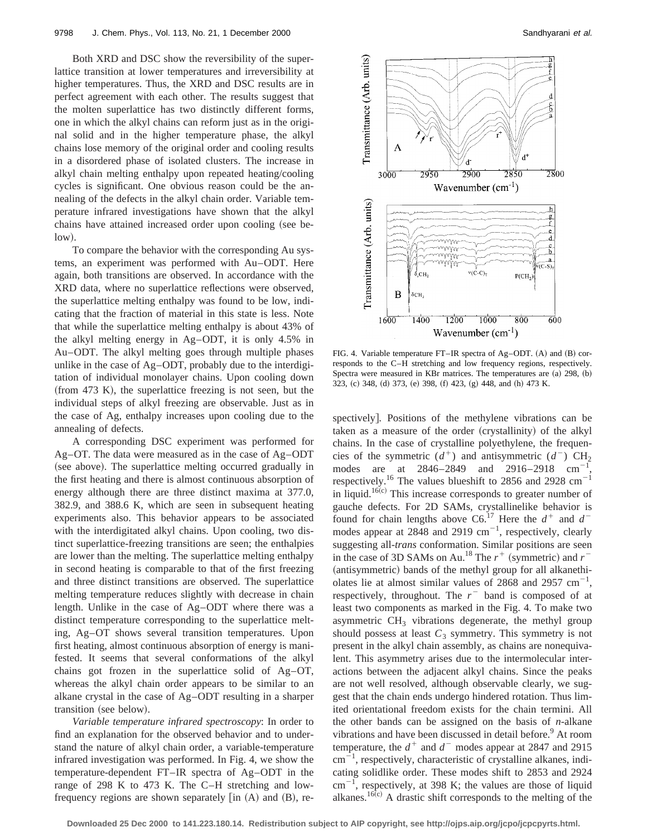Both XRD and DSC show the reversibility of the superlattice transition at lower temperatures and irreversibility at higher temperatures. Thus, the XRD and DSC results are in perfect agreement with each other. The results suggest that the molten superlattice has two distinctly different forms, one in which the alkyl chains can reform just as in the original solid and in the higher temperature phase, the alkyl chains lose memory of the original order and cooling results in a disordered phase of isolated clusters. The increase in alkyl chain melting enthalpy upon repeated heating/cooling cycles is significant. One obvious reason could be the annealing of the defects in the alkyl chain order. Variable temperature infrared investigations have shown that the alkyl chains have attained increased order upon cooling (see be $low).$ 

To compare the behavior with the corresponding Au systems, an experiment was performed with Au–ODT. Here again, both transitions are observed. In accordance with the XRD data, where no superlattice reflections were observed, the superlattice melting enthalpy was found to be low, indicating that the fraction of material in this state is less. Note that while the superlattice melting enthalpy is about 43% of the alkyl melting energy in Ag–ODT, it is only 4.5% in Au–ODT. The alkyl melting goes through multiple phases unlike in the case of Ag–ODT, probably due to the interdigitation of individual monolayer chains. Upon cooling down  $~($ from 473 K $)$ , the superlattice freezing is not seen, but the individual steps of alkyl freezing are observable. Just as in the case of Ag, enthalpy increases upon cooling due to the annealing of defects.

A corresponding DSC experiment was performed for Ag–OT. The data were measured as in the case of Ag–ODT (see above). The superlattice melting occurred gradually in the first heating and there is almost continuous absorption of energy although there are three distinct maxima at 377.0, 382.9, and 388.6 K, which are seen in subsequent heating experiments also. This behavior appears to be associated with the interdigitated alkyl chains. Upon cooling, two distinct superlattice-freezing transitions are seen; the enthalpies are lower than the melting. The superlattice melting enthalpy in second heating is comparable to that of the first freezing and three distinct transitions are observed. The superlattice melting temperature reduces slightly with decrease in chain length. Unlike in the case of Ag–ODT where there was a distinct temperature corresponding to the superlattice melting, Ag–OT shows several transition temperatures. Upon first heating, almost continuous absorption of energy is manifested. It seems that several conformations of the alkyl chains got frozen in the superlattice solid of Ag–OT, whereas the alkyl chain order appears to be similar to an alkane crystal in the case of Ag–ODT resulting in a sharper transition (see below).

*Variable temperature infrared spectroscopy*: In order to find an explanation for the observed behavior and to understand the nature of alkyl chain order, a variable-temperature infrared investigation was performed. In Fig. 4, we show the temperature-dependent FT–IR spectra of Ag–ODT in the range of 298 K to 473 K. The C–H stretching and lowfrequency regions are shown separately  $\overline{a}$  (A) and  $\overline{B}$ , re-



FIG. 4. Variable temperature FT–IR spectra of Ag–ODT.  $(A)$  and  $(B)$  corresponds to the C–H stretching and low frequency regions, respectively. Spectra were measured in KBr matrices. The temperatures are  $(a)$  298,  $(b)$ 323, (c) 348, (d) 373, (e) 398, (f) 423, (g) 448, and (h) 473 K.

spectively]. Positions of the methylene vibrations can be taken as a measure of the order (crystallinity) of the alkyl chains. In the case of crystalline polyethylene, the frequencies of the symmetric  $(d^+)$  and antisymmetric  $(d^-)$  CH<sub>2</sub> modes are at 2846–2849 and 2916–2918 cm<sup>-</sup> , respectively.<sup>16</sup> The values blueshift to 2856 and 2928  $\text{cm}^{-1}$ in liquid.<sup>16(c)</sup> This increase corresponds to greater number of gauche defects. For 2D SAMs, crystallinelike behavior is found for chain lengths above  $CG<sup>17</sup>$  Here the  $d^+$  and  $d^$ modes appear at 2848 and 2919  $\text{cm}^{-1}$ , respectively, clearly suggesting all-*trans* conformation. Similar positions are seen in the case of 3D SAMs on Au.<sup>18</sup> The  $r^+$  (symmetric) and  $r^-$ (antisymmetric) bands of the methyl group for all alkanethiolates lie at almost similar values of  $2868$  and  $2957$  cm<sup>-1</sup>, respectively, throughout. The  $r<sup>-</sup>$  band is composed of at least two components as marked in the Fig. 4. To make two asymmetric  $CH<sub>3</sub>$  vibrations degenerate, the methyl group should possess at least  $C_3$  symmetry. This symmetry is not present in the alkyl chain assembly, as chains are nonequivalent. This asymmetry arises due to the intermolecular interactions between the adjacent alkyl chains. Since the peaks are not well resolved, although observable clearly, we suggest that the chain ends undergo hindered rotation. Thus limited orientational freedom exists for the chain termini. All the other bands can be assigned on the basis of *n*-alkane vibrations and have been discussed in detail before.<sup>9</sup> At room temperature, the  $d^+$  and  $d^-$  modes appear at 2847 and 2915  $\text{cm}^{-1}$ , respectively, characteristic of crystalline alkanes, indicating solidlike order. These modes shift to 2853 and 2924  $\text{cm}^{-1}$ , respectively, at 398 K; the values are those of liquid alkanes.<sup>16 $\overline{c}$ </sup> A drastic shift corresponds to the melting of the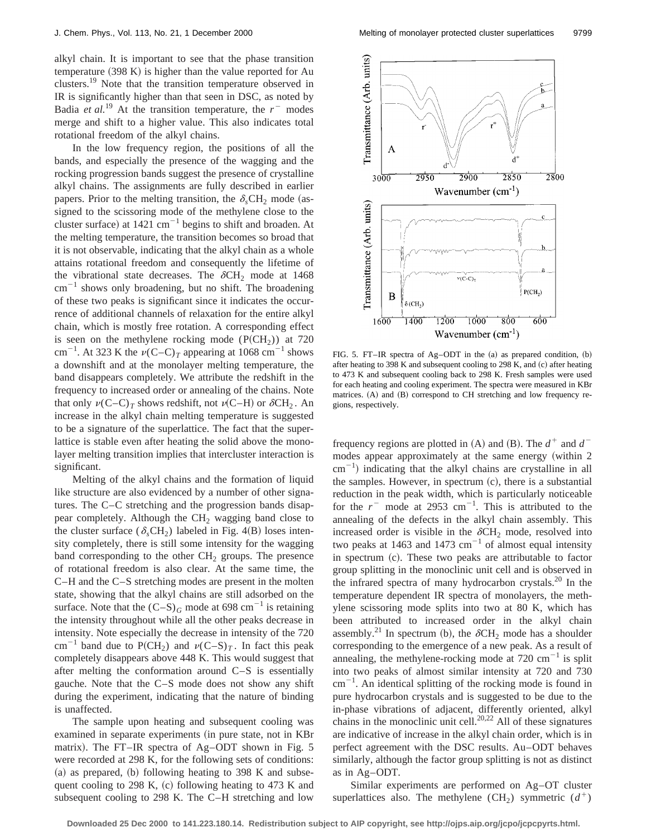alkyl chain. It is important to see that the phase transition temperature  $(398 K)$  is higher than the value reported for Au clusters.<sup>19</sup> Note that the transition temperature observed in IR is significantly higher than that seen in DSC, as noted by Badia *et al.*<sup>19</sup> At the transition temperature, the  $r<sup>-</sup>$  modes merge and shift to a higher value. This also indicates total rotational freedom of the alkyl chains.

In the low frequency region, the positions of all the bands, and especially the presence of the wagging and the rocking progression bands suggest the presence of crystalline alkyl chains. The assignments are fully described in earlier papers. Prior to the melting transition, the  $\delta_s$ CH<sub>2</sub> mode (assigned to the scissoring mode of the methylene close to the cluster surface) at  $1421 \text{ cm}^{-1}$  begins to shift and broaden. At the melting temperature, the transition becomes so broad that it is not observable, indicating that the alkyl chain as a whole attains rotational freedom and consequently the lifetime of the vibrational state decreases. The  $\delta$ CH<sub>2</sub> mode at 1468  $\text{cm}^{-1}$  shows only broadening, but no shift. The broadening of these two peaks is significant since it indicates the occurrence of additional channels of relaxation for the entire alkyl chain, which is mostly free rotation. A corresponding effect is seen on the methylene rocking mode  $(P(CH<sub>2</sub>))$  at 720 cm<sup>-1</sup>. At 323 K the  $\nu(C-C)_T$  appearing at 1068 cm<sup>-1</sup> shows a downshift and at the monolayer melting temperature, the band disappears completely. We attribute the redshift in the frequency to increased order or annealing of the chains. Note that only  $\nu(C-C)_T$  shows redshift, not  $\nu(C-H)$  or  $\delta CH_2$ . An increase in the alkyl chain melting temperature is suggested to be a signature of the superlattice. The fact that the superlattice is stable even after heating the solid above the monolayer melting transition implies that intercluster interaction is significant.

Melting of the alkyl chains and the formation of liquid like structure are also evidenced by a number of other signatures. The C–C stretching and the progression bands disappear completely. Although the  $CH<sub>2</sub>$  wagging band close to the cluster surface ( $\delta_s$ CH<sub>2</sub>) labeled in Fig. 4(B) loses intensity completely, there is still some intensity for the wagging band corresponding to the other  $CH<sub>2</sub>$  groups. The presence of rotational freedom is also clear. At the same time, the C–H and the C–S stretching modes are present in the molten state, showing that the alkyl chains are still adsorbed on the surface. Note that the  $(C-S)<sub>G</sub>$  mode at 698 cm<sup>-1</sup> is retaining the intensity throughout while all the other peaks decrease in intensity. Note especially the decrease in intensity of the 720 cm<sup>-1</sup> band due to P(CH<sub>2</sub>) and  $\nu(C-S)<sub>T</sub>$ . In fact this peak completely disappears above 448 K. This would suggest that after melting the conformation around C–S is essentially gauche. Note that the C–S mode does not show any shift during the experiment, indicating that the nature of binding is unaffected.

The sample upon heating and subsequent cooling was examined in separate experiments (in pure state, not in KBr matrix). The FT–IR spectra of Ag–ODT shown in Fig. 5 were recorded at 298 K, for the following sets of conditions:  $(a)$  as prepared,  $(b)$  following heating to 398 K and subsequent cooling to 298 K,  $(c)$  following heating to 473 K and subsequent cooling to 298 K. The C–H stretching and low



FIG. 5. FT-IR spectra of Ag-ODT in the  $(a)$  as prepared condition,  $(b)$ after heating to 398 K and subsequent cooling to 298 K, and  $(c)$  after heating to 473 K and subsequent cooling back to 298 K. Fresh samples were used for each heating and cooling experiment. The spectra were measured in KBr matrices.  $(A)$  and  $(B)$  correspond to CH stretching and low frequency regions, respectively.

frequency regions are plotted in (A) and (B). The  $d^+$  and  $d^$ modes appear approximately at the same energy (within 2  $\text{cm}^{-1}$ ) indicating that the alkyl chains are crystalline in all the samples. However, in spectrum  $(c)$ , there is a substantial reduction in the peak width, which is particularly noticeable for the  $r^-$  mode at 2953 cm<sup>-1</sup>. This is attributed to the annealing of the defects in the alkyl chain assembly. This increased order is visible in the  $\delta$ CH<sub>2</sub> mode, resolved into two peaks at 1463 and 1473  $\text{cm}^{-1}$  of almost equal intensity in spectrum  $(c)$ . These two peaks are attributable to factor group splitting in the monoclinic unit cell and is observed in the infrared spectra of many hydrocarbon crystals.20 In the temperature dependent IR spectra of monolayers, the methylene scissoring mode splits into two at 80 K, which has been attributed to increased order in the alkyl chain assembly.<sup>21</sup> In spectrum (b), the  $\delta$ CH<sub>2</sub> mode has a shoulder corresponding to the emergence of a new peak. As a result of annealing, the methylene-rocking mode at  $720 \text{ cm}^{-1}$  is split into two peaks of almost similar intensity at 720 and 730  $\text{cm}^{-1}$ . An identical splitting of the rocking mode is found in pure hydrocarbon crystals and is suggested to be due to the in-phase vibrations of adjacent, differently oriented, alkyl chains in the monoclinic unit cell. $^{20,22}$  All of these signatures are indicative of increase in the alkyl chain order, which is in perfect agreement with the DSC results. Au–ODT behaves similarly, although the factor group splitting is not as distinct as in Ag–ODT.

Similar experiments are performed on Ag–OT cluster superlattices also. The methylene (CH<sub>2</sub>) symmetric  $(d^+)$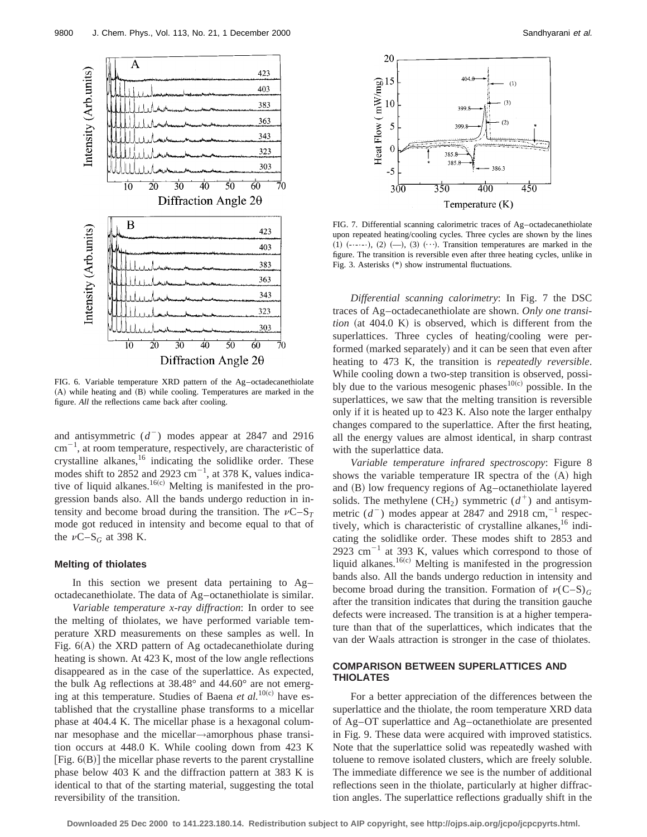

FIG. 6. Variable temperature XRD pattern of the Ag–octadecanethiolate  $(A)$  while heating and  $(B)$  while cooling. Temperatures are marked in the figure. *All* the reflections came back after cooling.

and antisymmetric  $(d^-)$  modes appear at 2847 and 2916  $\text{cm}^{-1}$ , at room temperature, respectively, are characteristic of crystalline alkanes, $16$  indicating the solidlike order. These modes shift to 2852 and 2923  $\text{cm}^{-1}$ , at 378 K, values indicative of liquid alkanes.<sup>16(c)</sup> Melting is manifested in the progression bands also. All the bands undergo reduction in intensity and become broad during the transition. The  $\nu$ C–S<sub>T</sub> mode got reduced in intensity and become equal to that of the  $\nu$ C–S<sub>*G*</sub> at 398 K.

## **Melting of thiolates**

In this section we present data pertaining to Ag– octadecanethiolate. The data of Ag–octanethiolate is similar.

*Variable temperature x-ray diffraction*: In order to see the melting of thiolates, we have performed variable temperature XRD measurements on these samples as well. In Fig.  $6(A)$  the XRD pattern of Ag octadecanethiolate during heating is shown. At 423 K, most of the low angle reflections disappeared as in the case of the superlattice. As expected, the bulk Ag reflections at 38.48° and 44.60° are not emerging at this temperature. Studies of Baena et al.<sup>10(c)</sup> have established that the crystalline phase transforms to a micellar phase at 404.4 K. The micellar phase is a hexagonal columnar mesophase and the micellar→amorphous phase transition occurs at 448.0 K. While cooling down from 423 K [Fig.  $6(B)$ ] the micellar phase reverts to the parent crystalline phase below 403 K and the diffraction pattern at 383 K is identical to that of the starting material, suggesting the total reversibility of the transition.



FIG. 7. Differential scanning calorimetric traces of Ag–octadecanethiolate upon repeated heating/cooling cycles. Three cycles are shown by the lines  $(1)$   $(\cdots)$ ,  $(2)$   $(-)$ ,  $(3)$   $(\cdots)$ . Transition temperatures are marked in the figure. The transition is reversible even after three heating cycles, unlike in Fig. 3. Asterisks  $(*)$  show instrumental fluctuations.

*Differential scanning calorimetry*: In Fig. 7 the DSC traces of Ag–octadecanethiolate are shown. *Only one transi* $tion$  (at  $404.0$  K) is observed, which is different from the superlattices. Three cycles of heating/cooling were performed (marked separately) and it can be seen that even after heating to 473 K, the transition is *repeatedly reversible*. While cooling down a two-step transition is observed, possibly due to the various mesogenic phases<sup>10(c)</sup> possible. In the superlattices, we saw that the melting transition is reversible only if it is heated up to 423 K. Also note the larger enthalpy changes compared to the superlattice. After the first heating, all the energy values are almost identical, in sharp contrast with the superlattice data.

*Variable temperature infrared spectroscopy*: Figure 8 shows the variable temperature IR spectra of the  $(A)$  high and  $(B)$  low frequency regions of Ag–octanethiolate layered solids. The methylene (CH<sub>2</sub>) symmetric  $(d^+)$  and antisymmetric  $(d^-)$  modes appear at 2847 and 2918 cm,<sup> $-1$ </sup> respectively, which is characteristic of crystalline alkanes,  $16$  indicating the solidlike order. These modes shift to 2853 and 2923 cm<sup> $-1$ </sup> at 393 K, values which correspond to those of liquid alkanes.<sup>16(c)</sup> Melting is manifested in the progression bands also. All the bands undergo reduction in intensity and become broad during the transition. Formation of  $\nu(C-S)<sub>G</sub>$ after the transition indicates that during the transition gauche defects were increased. The transition is at a higher temperature than that of the superlattices, which indicates that the van der Waals attraction is stronger in the case of thiolates.

## **COMPARISON BETWEEN SUPERLATTICES AND THIOLATES**

For a better appreciation of the differences between the superlattice and the thiolate, the room temperature XRD data of Ag–OT superlattice and Ag–octanethiolate are presented in Fig. 9. These data were acquired with improved statistics. Note that the superlattice solid was repeatedly washed with toluene to remove isolated clusters, which are freely soluble. The immediate difference we see is the number of additional reflections seen in the thiolate, particularly at higher diffraction angles. The superlattice reflections gradually shift in the

**Downloaded 25 Dec 2000 to 141.223.180.14. Redistribution subject to AIP copyright, see http://ojps.aip.org/jcpo/jcpcpyrts.html.**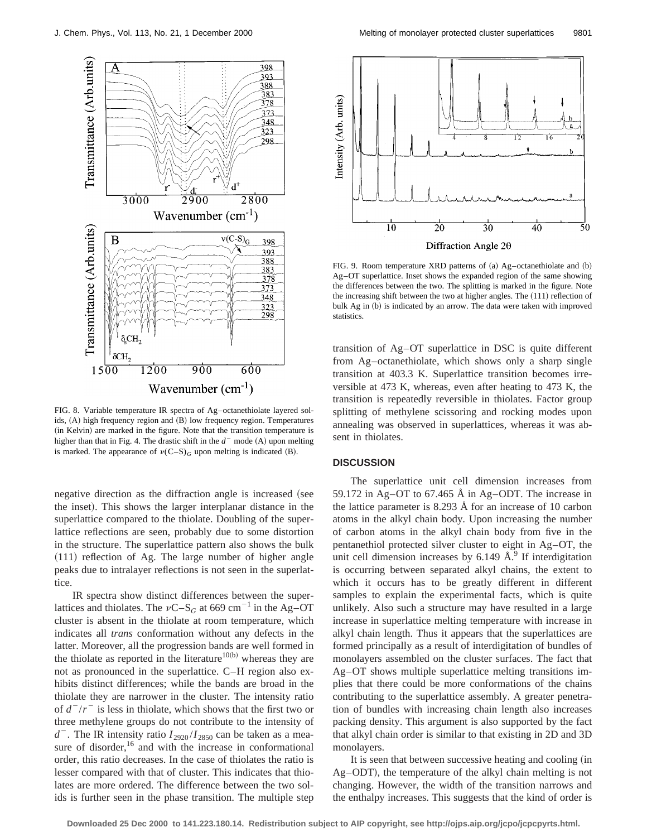

FIG. 8. Variable temperature IR spectra of Ag–octanethiolate layered solids, (A) high frequency region and (B) low frequency region. Temperatures (in Kelvin) are marked in the figure. Note that the transition temperature is higher than that in Fig. 4. The drastic shift in the  $d<sup>-</sup>$  mode (A) upon melting is marked. The appearance of  $\nu(C-S)<sub>G</sub>$  upon melting is indicated (B).

negative direction as the diffraction angle is increased (see the inset). This shows the larger interplanar distance in the superlattice compared to the thiolate. Doubling of the superlattice reflections are seen, probably due to some distortion in the structure. The superlattice pattern also shows the bulk  $(111)$  reflection of Ag. The large number of higher angle peaks due to intralayer reflections is not seen in the superlattice.

IR spectra show distinct differences between the superlattices and thiolates. The  $vC-S_G$  at 669 cm<sup>-1</sup> in the Ag–OT cluster is absent in the thiolate at room temperature, which indicates all *trans* conformation without any defects in the latter. Moreover, all the progression bands are well formed in the thiolate as reported in the literature<sup>10(b)</sup> whereas they are not as pronounced in the superlattice. C–H region also exhibits distinct differences; while the bands are broad in the thiolate they are narrower in the cluster. The intensity ratio of  $d^{-}/r^{-}$  is less in thiolate, which shows that the first two or three methylene groups do not contribute to the intensity of  $d^-$ . The IR intensity ratio  $I_{2920}/I_{2850}$  can be taken as a measure of disorder,  $16$  and with the increase in conformational order, this ratio decreases. In the case of thiolates the ratio is lesser compared with that of cluster. This indicates that thiolates are more ordered. The difference between the two solids is further seen in the phase transition. The multiple step



FIG. 9. Room temperature XRD patterns of  $(a)$  Ag–octanethiolate and  $(b)$ Ag–OT superlattice. Inset shows the expanded region of the same showing the differences between the two. The splitting is marked in the figure. Note the increasing shift between the two at higher angles. The  $(111)$  reflection of bulk Ag in (b) is indicated by an arrow. The data were taken with improved statistics.

transition of Ag–OT superlattice in DSC is quite different from Ag–octanethiolate, which shows only a sharp single transition at 403.3 K. Superlattice transition becomes irreversible at 473 K, whereas, even after heating to 473 K, the transition is repeatedly reversible in thiolates. Factor group splitting of methylene scissoring and rocking modes upon annealing was observed in superlattices, whereas it was absent in thiolates.

## **DISCUSSION**

The superlattice unit cell dimension increases from 59.172 in Ag–OT to 67.465 Å in Ag–ODT. The increase in the lattice parameter is 8.293 Å for an increase of 10 carbon atoms in the alkyl chain body. Upon increasing the number of carbon atoms in the alkyl chain body from five in the pentanethiol protected silver cluster to eight in Ag–OT, the unit cell dimension increases by  $6.149 \text{ Å}^9$  If interdigitation is occurring between separated alkyl chains, the extent to which it occurs has to be greatly different in different samples to explain the experimental facts, which is quite unlikely. Also such a structure may have resulted in a large increase in superlattice melting temperature with increase in alkyl chain length. Thus it appears that the superlattices are formed principally as a result of interdigitation of bundles of monolayers assembled on the cluster surfaces. The fact that Ag–OT shows multiple superlattice melting transitions implies that there could be more conformations of the chains contributing to the superlattice assembly. A greater penetration of bundles with increasing chain length also increases packing density. This argument is also supported by the fact that alkyl chain order is similar to that existing in 2D and 3D monolayers.

It is seen that between successive heating and cooling (in Ag–ODT), the temperature of the alkyl chain melting is not changing. However, the width of the transition narrows and the enthalpy increases. This suggests that the kind of order is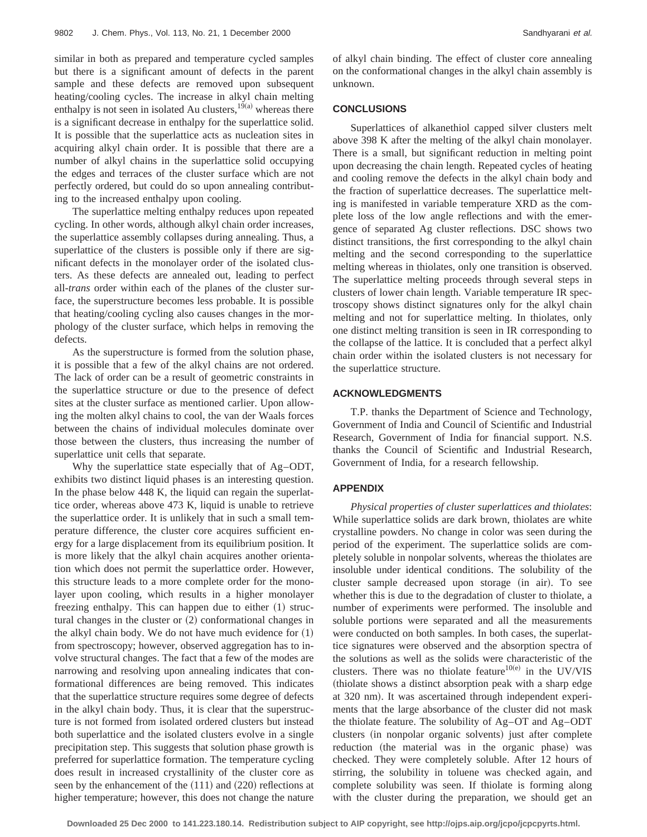similar in both as prepared and temperature cycled samples but there is a significant amount of defects in the parent sample and these defects are removed upon subsequent heating/cooling cycles. The increase in alkyl chain melting enthalpy is not seen in isolated Au clusters,<sup>19(a)</sup> whereas there is a significant decrease in enthalpy for the superlattice solid. It is possible that the superlattice acts as nucleation sites in acquiring alkyl chain order. It is possible that there are a number of alkyl chains in the superlattice solid occupying the edges and terraces of the cluster surface which are not perfectly ordered, but could do so upon annealing contributing to the increased enthalpy upon cooling.

The superlattice melting enthalpy reduces upon repeated cycling. In other words, although alkyl chain order increases, the superlattice assembly collapses during annealing. Thus, a superlattice of the clusters is possible only if there are significant defects in the monolayer order of the isolated clusters. As these defects are annealed out, leading to perfect all-*trans* order within each of the planes of the cluster surface, the superstructure becomes less probable. It is possible that heating/cooling cycling also causes changes in the morphology of the cluster surface, which helps in removing the defects.

As the superstructure is formed from the solution phase, it is possible that a few of the alkyl chains are not ordered. The lack of order can be a result of geometric constraints in the superlattice structure or due to the presence of defect sites at the cluster surface as mentioned carlier. Upon allowing the molten alkyl chains to cool, the van der Waals forces between the chains of individual molecules dominate over those between the clusters, thus increasing the number of superlattice unit cells that separate.

Why the superlattice state especially that of Ag–ODT, exhibits two distinct liquid phases is an interesting question. In the phase below 448 K, the liquid can regain the superlattice order, whereas above 473 K, liquid is unable to retrieve the superlattice order. It is unlikely that in such a small temperature difference, the cluster core acquires sufficient energy for a large displacement from its equilibrium position. It is more likely that the alkyl chain acquires another orientation which does not permit the superlattice order. However, this structure leads to a more complete order for the monolayer upon cooling, which results in a higher monolayer freezing enthalpy. This can happen due to either  $(1)$  structural changes in the cluster or  $(2)$  conformational changes in the alkyl chain body. We do not have much evidence for  $(1)$ from spectroscopy; however, observed aggregation has to involve structural changes. The fact that a few of the modes are narrowing and resolving upon annealing indicates that conformational differences are being removed. This indicates that the superlattice structure requires some degree of defects in the alkyl chain body. Thus, it is clear that the superstructure is not formed from isolated ordered clusters but instead both superlattice and the isolated clusters evolve in a single precipitation step. This suggests that solution phase growth is preferred for superlattice formation. The temperature cycling does result in increased crystallinity of the cluster core as seen by the enhancement of the  $(111)$  and  $(220)$  reflections at higher temperature; however, this does not change the nature of alkyl chain binding. The effect of cluster core annealing on the conformational changes in the alkyl chain assembly is unknown.

## **CONCLUSIONS**

Superlattices of alkanethiol capped silver clusters melt above 398 K after the melting of the alkyl chain monolayer. There is a small, but significant reduction in melting point upon decreasing the chain length. Repeated cycles of heating and cooling remove the defects in the alkyl chain body and the fraction of superlattice decreases. The superlattice melting is manifested in variable temperature XRD as the complete loss of the low angle reflections and with the emergence of separated Ag cluster reflections. DSC shows two distinct transitions, the first corresponding to the alkyl chain melting and the second corresponding to the superlattice melting whereas in thiolates, only one transition is observed. The superlattice melting proceeds through several steps in clusters of lower chain length. Variable temperature IR spectroscopy shows distinct signatures only for the alkyl chain melting and not for superlattice melting. In thiolates, only one distinct melting transition is seen in IR corresponding to the collapse of the lattice. It is concluded that a perfect alkyl chain order within the isolated clusters is not necessary for the superlattice structure.

## **ACKNOWLEDGMENTS**

T.P. thanks the Department of Science and Technology, Government of India and Council of Scientific and Industrial Research, Government of India for financial support. N.S. thanks the Council of Scientific and Industrial Research, Government of India, for a research fellowship.

## **APPENDIX**

*Physical properties of cluster superlattices and thiolates*: While superlattice solids are dark brown, thiolates are white crystalline powders. No change in color was seen during the period of the experiment. The superlattice solids are completely soluble in nonpolar solvents, whereas the thiolates are insoluble under identical conditions. The solubility of the cluster sample decreased upon storage (in air). To see whether this is due to the degradation of cluster to thiolate, a number of experiments were performed. The insoluble and soluble portions were separated and all the measurements were conducted on both samples. In both cases, the superlattice signatures were observed and the absorption spectra of the solutions as well as the solids were characteristic of the clusters. There was no thiolate feature<sup>10(e)</sup> in the UV/VIS (thiolate shows a distinct absorption peak with a sharp edge at 320 nm). It was ascertained through independent experiments that the large absorbance of the cluster did not mask the thiolate feature. The solubility of Ag–OT and Ag–ODT clusters (in nonpolar organic solvents) just after complete reduction (the material was in the organic phase) was checked. They were completely soluble. After 12 hours of stirring, the solubility in toluene was checked again, and complete solubility was seen. If thiolate is forming along with the cluster during the preparation, we should get an